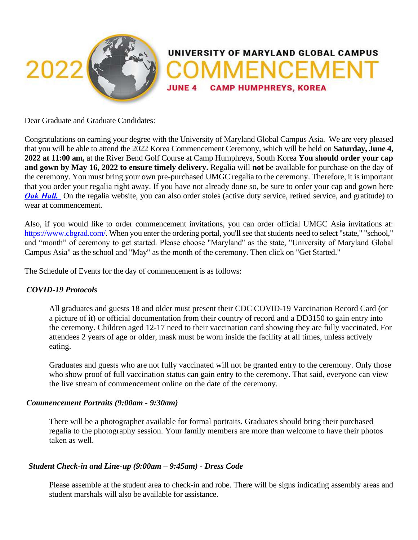

Dear Graduate and Graduate Candidates:

Congratulations on earning your degree with the University of Maryland Global Campus Asia. We are very pleased that you will be able to attend the 2022 Korea Commencement Ceremony, which will be held on **Saturday, June 4, 2022 at 11:00 am,** at the River Bend Golf Course at Camp Humphreys, South Korea **You should order your cap and gown by May 16, 2022 to ensure timely delivery.** Regalia will **not** be available for purchase on the day of the ceremony. You must bring your own pre-purchased UMGC regalia to the ceremony. Therefore, it is important that you order your regalia right away. If you have not already done so, be sure to order your cap and gown here *[Oak Hall.](http://www.cbgrad.com/school/UMUCA)* On the regalia website, you can also order stoles (active duty service, retired service, and gratitude) to wear at commencement.

Also, if you would like to order commencement invitations, you can order official UMGC Asia invitations at: [https://www.cbgrad.com/.](https://www.cbgrad.com/) When you enter the ordering portal, you'll see that students need to select "state," "school," and "month" of ceremony to get started. Please choose "Maryland" as the state, "University of Maryland Global Campus Asia" as the school and "May" as the month of the ceremony. Then click on "Get Started."

The Schedule of Events for the day of commencement is as follows:

# *COVID-19 Protocols*

All graduates and guests 18 and older must present their CDC COVID-19 Vaccination Record Card (or a picture of it) or official documentation from their country of record and a DD3150 to gain entry into the ceremony. Children aged 12-17 need to their vaccination card showing they are fully vaccinated. For attendees 2 years of age or older, mask must be worn inside the facility at all times, unless actively eating.

Graduates and guests who are not fully vaccinated will not be granted entry to the ceremony. Only those who show proof of full vaccination status can gain entry to the ceremony. That said, everyone can view the live stream of commencement online on the date of the ceremony.

# *Commencement Portraits (9:00am - 9:30am)*

There will be a photographer available for formal portraits. Graduates should bring their purchased regalia to the photography session. Your family members are more than welcome to have their photos taken as well.

# *Student Check-in and Line-up (9:00am – 9:45am) - Dress Code*

Please assemble at the student area to check-in and robe. There will be signs indicating assembly areas and student marshals will also be available for assistance.